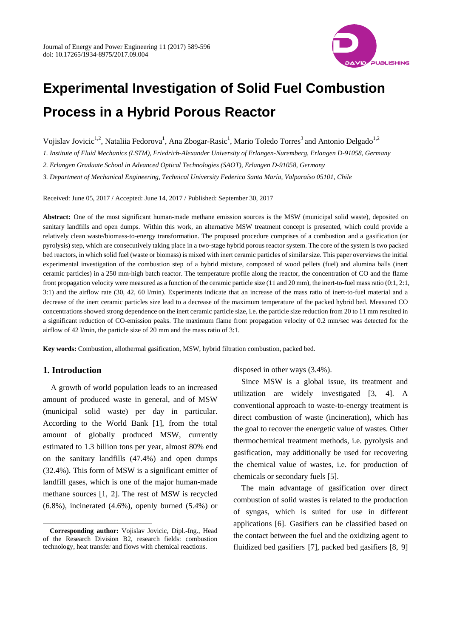

# **Experimental Investigation of Solid Fuel Combustion Process in a Hybrid Porous Reactor**

Vojislav Jovicic<sup>1,2</sup>, Nataliia Fedorova<sup>1</sup>, Ana Zbogar-Rasic<sup>1</sup>, Mario Toledo Torres<sup>3</sup> and Antonio Delgado<sup>1,2</sup>

*1. Institute of Fluid Mechanics (LSTM), Friedrich-Alexander University of Erlangen-Nuremberg, Erlangen D-91058, Germany* 

*2. Erlangen Graduate School in Advanced Optical Technologies (SAOT), Erlangen D-91058, Germany* 

*3. Department of Mechanical Engineering, Technical University Federico Santa María, Valparaíso 05101, Chile* 

Received: June 05, 2017 / Accepted: June 14, 2017 / Published: September 30, 2017

**Abstract:** One of the most significant human-made methane emission sources is the MSW (municipal solid waste), deposited on sanitary landfills and open dumps. Within this work, an alternative MSW treatment concept is presented, which could provide a relatively clean waste/biomass-to-energy transformation. The proposed procedure comprises of a combustion and a gasification (or pyrolysis) step, which are consecutively taking place in a two-stage hybrid porous reactor system. The core of the system is two packed bed reactors, in which solid fuel (waste or biomass) is mixed with inert ceramic particles of similar size. This paper overviews the initial experimental investigation of the combustion step of a hybrid mixture, composed of wood pellets (fuel) and alumina balls (inert ceramic particles) in a 250 mm-high batch reactor. The temperature profile along the reactor, the concentration of CO and the flame front propagation velocity were measured as a function of the ceramic particle size (11 and 20 mm), the inert-to-fuel mass ratio (0:1, 2:1, 3:1) and the airflow rate (30, 42, 60 l/min). Experiments indicate that an increase of the mass ratio of inert-to-fuel material and a decrease of the inert ceramic particles size lead to a decrease of the maximum temperature of the packed hybrid bed. Measured CO concentrations showed strong dependence on the inert ceramic particle size, i.e. the particle size reduction from 20 to 11 mm resulted in a significant reduction of CO-emission peaks. The maximum flame front propagation velocity of 0.2 mm/sec was detected for the airflow of 42 l/min, the particle size of 20 mm and the mass ratio of 3:1.

**Key words:** Combustion, allothermal gasification, MSW, hybrid filtration combustion, packed bed.

## **1. Introduction**

 $\overline{\phantom{a}}$ 

A growth of world population leads to an increased amount of produced waste in general, and of MSW (municipal solid waste) per day in particular. According to the World Bank [1], from the total amount of globally produced MSW, currently estimated to 1.3 billion tons per year, almost 80% end on the sanitary landfills (47.4%) and open dumps (32.4%). This form of MSW is a significant emitter of landfill gases, which is one of the major human-made methane sources [1, 2]. The rest of MSW is recycled  $(6.8\%)$ , incinerated  $(4.6\%)$ , openly burned  $(5.4\%)$  or

disposed in other ways (3.4%).

Since MSW is a global issue, its treatment and utilization are widely investigated [3, 4]. A conventional approach to waste-to-energy treatment is direct combustion of waste (incineration), which has the goal to recover the energetic value of wastes. Other thermochemical treatment methods, i.e. pyrolysis and gasification, may additionally be used for recovering the chemical value of wastes, i.e. for production of chemicals or secondary fuels [5].

The main advantage of gasification over direct combustion of solid wastes is related to the production of syngas, which is suited for use in different applications [6]. Gasifiers can be classified based on the contact between the fuel and the oxidizing agent to fluidized bed gasifiers [7], packed bed gasifiers [8, 9]

**Corresponding author:** Vojislav Jovicic, Dipl.-Ing., Head of the Research Division B2, research fields: combustion technology, heat transfer and flows with chemical reactions.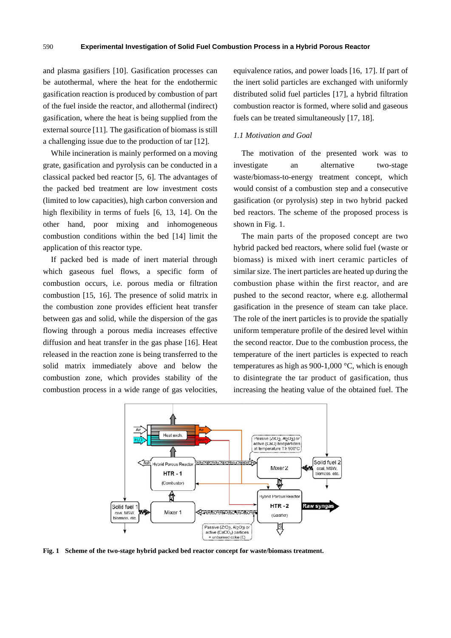and plasma gasifiers [10]. Gasification processes can be autothermal, where the heat for the endothermic gasification reaction is produced by combustion of part of the fuel inside the reactor, and allothermal (indirect) gasification, where the heat is being supplied from the external source [11]. The gasification of biomass is still a challenging issue due to the production of tar [12].

While incineration is mainly performed on a moving grate, gasification and pyrolysis can be conducted in a classical packed bed reactor [5, 6]. The advantages of the packed bed treatment are low investment costs (limited to low capacities), high carbon conversion and high flexibility in terms of fuels [6, 13, 14]. On the other hand, poor mixing and inhomogeneous combustion conditions within the bed [14] limit the application of this reactor type.

If packed bed is made of inert material through which gaseous fuel flows, a specific form of combustion occurs, i.e. porous media or filtration combustion [15, 16]. The presence of solid matrix in the combustion zone provides efficient heat transfer between gas and solid, while the dispersion of the gas flowing through a porous media increases effective diffusion and heat transfer in the gas phase [16]. Heat released in the reaction zone is being transferred to the solid matrix immediately above and below the combustion zone, which provides stability of the combustion process in a wide range of gas velocities, equivalence ratios, and power loads [16, 17]. If part of the inert solid particles are exchanged with uniformly distributed solid fuel particles [17], a hybrid filtration combustion reactor is formed, where solid and gaseous fuels can be treated simultaneously [17, 18].

#### 1.1 Motivation and Goal

The motivation of the presented work was to investigate waste/biomass-to-energy treatment concept, which would consist of a combustion step and a consecutive gasification (or pyrolysis) step in two hybrid packed bed reactors. The scheme of the proposed process is sho wn in Fig. 1. an al lternative two-stage

The main parts of the proposed concept are two hybrid packed bed reactors, where solid fuel (waste or bio mass) is mi xed with in ert ceramic particles of similar size. The inert particles are heated up during the combustion phase within the first reactor, and are pushed to the second reactor, where e.g. allothermal gasification in the presence of steam can take place. The role of the inert particles is to provide the spatially uniform temperature profile of the desired level within the second react or. Due to th e combustion n process, the temperature of the inert particles is expected to reach temperatures as high as 900-1,000 °C, which is enough to disintegrate the tar product of gasification, thus increasing the heating value of the obtained fuel. The fynsoe e discorfeel.<br>Oe it feeld is oorfeel.<br>Peel.



Fig. 1 Scheme of the two-stage hybrid packed bed reactor concept for waste/biomass treatment.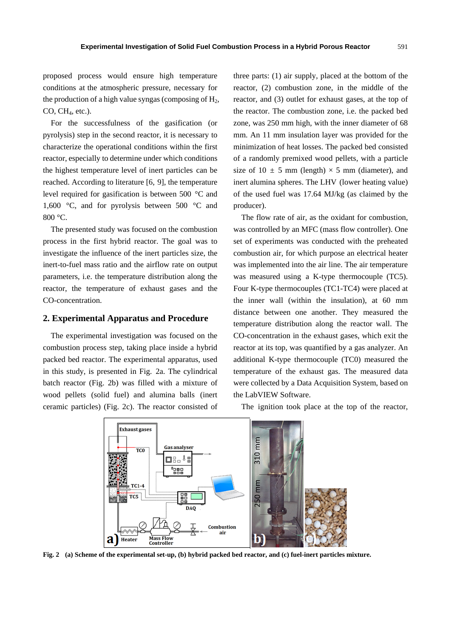proposed process would ensure high temperature conditions at the atmospheric pressure, necessary for the production of a high value syngas (composing of  $H_2$ ,  $CO$ ,  $CH<sub>4</sub>$ , etc.).

For the successfulness of the gasification (or pyrolysis) step in the second reactor, it is necessary to characterize the operational conditions within the first reactor, especially to determine under which conditions the highest temperature level of inert particles can be reached. According to literature [6, 9], the temperature level required for gasification is between 500 °C and 1,600 °C, and for pyrolysis between 500 °C and 800 °C.

The presented study was focused on the combustion process in the first hybrid reactor. The goal was to investigate the influence of the inert particles size, the inert-to-fuel mass ratio and the airflow rate on output parameters, i.e. the temperature distribution along the reactor, the temperature of exhaust gases and the CO-concentration.

#### **2. Experimental Apparatus and Procedure**

The experimental investigation was focused on the combustion process step, taking place inside a hybrid packed bed reactor. The experimental apparatus, used in this study, is presented in Fig. 2a. The cylindrical batch reactor (Fig. 2b) was filled with a mixture of wood pellets (solid fuel) and alumina balls (inert ceramic particles) (Fig. 2c). The reactor consisted of

three parts: (1) air supply, placed at the bottom of the reactor, (2) combustion zone, in the middle of the reactor, and (3) outlet for exhaust gases, at the top of the reactor. The combustion zone, i.e. the packed bed zone, was 250 mm high, with the inner diameter of 68 mm. An 11 mm insulation layer was provided for the minimization of heat losses. The packed bed consisted of a randomly premixed wood pellets, with a particle size of 10  $\pm$  5 mm (length)  $\times$  5 mm (diameter), and inert alumina spheres. The LHV (lower heating value) of the used fuel was 17.64 MJ/kg (as claimed by the producer).

The flow rate of air, as the oxidant for combustion, was controlled by an MFC (mass flow controller). One set of experiments was conducted with the preheated combustion air, for which purpose an electrical heater was implemented into the air line. The air temperature was measured using a K-type thermocouple (TC5). Four K-type thermocouples (TC1-TC4) were placed at the inner wall (within the insulation), at 60 mm distance between one another. They measured the temperature distribution along the reactor wall. The CO-concentration in the exhaust gases, which exit the reactor at its top, was quantified by a gas analyzer. An additional K-type thermocouple (TC0) measured the temperature of the exhaust gas. The measured data were collected by a Data Acquisition System, based on the LabVIEW Software.

The ignition took place at the top of the reactor,



**Fig. 2 (a) Scheme of the experimental set-up, (b) hybrid packed bed reactor, and (c) fuel-inert particles mixture.**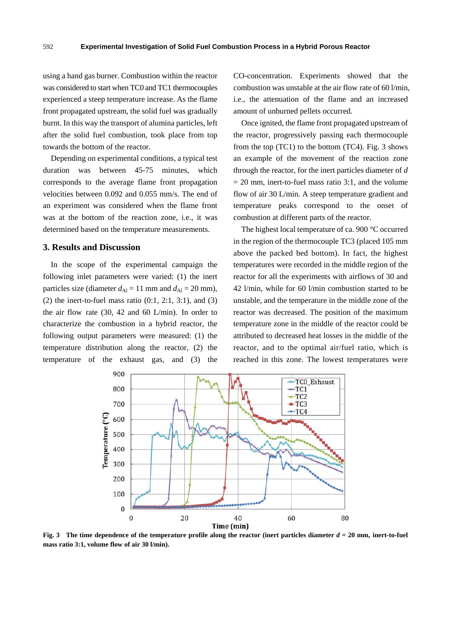using a hand gas burner. Combustion within the reactor was considered to start when TC0 and TC1 thermocouples experienced a steep temperature increase. As the flame front propagated upstream, the solid fuel was gradually burnt. In this way the transport of alumina particles, left after the solid fuel combustion, took place from top towards the bottom of the reactor.

Depending on experimental conditions, a typical test duration was between 45-75 minutes, which corresponds to the average flame front propagation velocities between 0.092 and 0.055 mm/s. The end of an experiment was considered when the flame front was at the bottom of the reaction zone, i.e., it was determined based on the temperature measurements.

#### **3. Results and Discussion**

In the scope of the experimental campaign the following inlet parameters were varied: (1) the inert particles size (diameter  $d_{\text{Al}} = 11$  mm and  $d_{\text{Al}} = 20$  mm), (2) the inert-to-fuel mass ratio  $(0:1, 2:1, 3:1)$ , and  $(3)$ the air flow rate (30, 42 and 60 L/min). In order to characterize the combustion in a hybrid reactor, the following output parameters were measured: (1) the temperature distribution along the reactor, (2) the temperature of the exhaust gas, and (3) the CO-concentration. Experiments showed that the combustion was unstable at the air flow rate of 60 l/min, i.e., the attenuation of the flame and an increased amount of unburned pellets occurred.

Once ignited, the flame front propagated upstream of the reactor, progressively passing each thermocouple from the top  $(TC1)$  to the bottom  $(TC4)$ . Fig. 3 shows an example of the movement of the reaction zone through the reactor, for the inert particles diameter of *d*  $= 20$  mm, inert-to-fuel mass ratio 3:1, and the volume flow of air 30 L/min. A steep temperature gradient and temperature peaks correspond to the onset of combustion at different parts of the reactor.

The highest local temperature of ca. 900 °C occurred in the region of the thermocouple TC3 (placed 105 mm above the packed bed bottom). In fact, the highest temperatures were recorded in the middle region of the reactor for all the experiments with airflows of 30 and 42 l/min, while for 60 l/min combustion started to be unstable, and the temperature in the middle zone of the reactor was decreased. The position of the maximum temperature zone in the middle of the reactor could be attributed to decreased heat losses in the middle of the reactor, and to the optimal air/fuel ratio, which is reached in this zone. The lowest temperatures were



**Fig. 3** The time dependence of the temperature profile along the reactor (inert particles diameter  $d = 20$  mm, inert-to-fuel **mass ratio 3:1, volume flow of air 30 l/min).**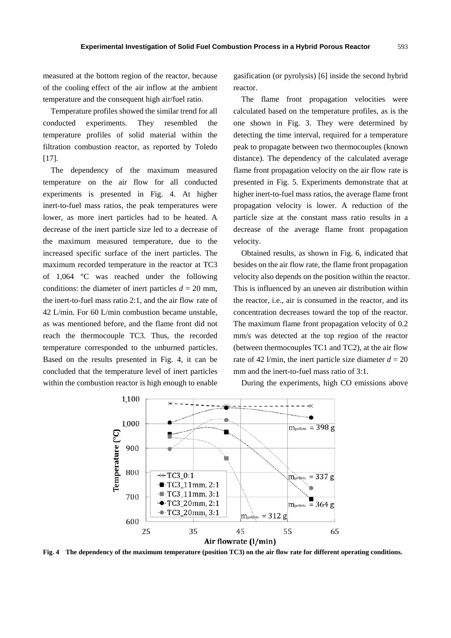measured at the bottom region of the reactor, because of the cooling effect of the air inflow at the ambient temperature and the consequent high air/fuel ratio.

Temperature profiles showed the similar trend for all conducted experiments. They resembled the temperature profiles of solid material within the filtration combustion reactor, as reported by Toledo  $[17]$ .

The dependency of the maximum measured temperature on the air flow for all conducted experiments is presented in Fig. 4. At higher inert-to-fuel mass ratios, the peak temperatures were lower, as more inert particles had to be heated. A decrease of the inert particle size led to a decrease of the maximum measured temperature, due to the increased specific surface of the inert particles. The maximum recorded temperature in the reactor at TC3 of 1,064 °C was reached under the following conditions: the diameter of inert particles  $d = 20$  mm, the inert-to-fuel mass ratio 2:1, and the air flow rate of 42 L/min. For 60 L/min combustion became unstable, as was mentioned before, and the flame front did not reach the thermocouple TC3. Thus, the recorded temperature corresponded to the unburned particles. Based on the results presented in Fig. 4, it can be concluded that the temperature level of inert particles within the combustion reactor is high enough to enable gasification (or pyrolysis) [6] inside the second hybrid reactor.

The flame front propagation velocities were calculated based on the temperature profiles, as is the one shown in Fig. 3. They were determined by detecting the time interval, required for a temperature peak to propagate between two thermocouples (known distance). The dependency of the calculated average flame front propagation velocity on the air flow rate is presented in Fig. 5. Experiments demonstrate that at higher inert-to-fuel mass ratios, the average flame front propagation velocity is lower. A reduction of the particle size at the constant mass ratio results in a decrease of the average flame front propagation velocity.

Obtained results, as shown in Fig. 6, indicated that besides on the air flow rate, the flame front propagation velocity also depends on the position within the reactor. This is influenced by an uneven air distribution within the reactor, i.e., air is consumed in the reactor, and its concentration decreases toward the top of the reactor. The maximum flame front propagation velocity of 0.2 mm/s was detected at the top region of the reactor (between thermocouples TC1 and TC2), at the air flow rate of 42 l/min, the inert particle size diameter  $d = 20$ mm and the inert-to-fuel mass ratio of 3:1.

During the experiments, high CO emissions above



**Fig. 4 The dependency of the maximum temperature (position TC3) on the air flow rate for different operating conditions.**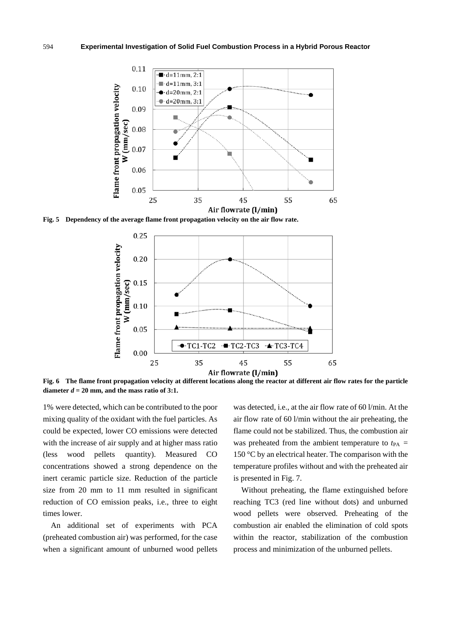

**Fig. 5 Dependency of the average flame front propagation velocity on the air flow rate.** 



**Fig. 6 The flame front propagation velocity at different locations along the reactor at different air flow rates for the particle**  diameter  $d = 20$  mm, and the mass ratio of 3:1.

1% were detected, which can be contributed to the poor mixing quality of the oxidant with the fuel particles. As could be expected, lower CO emissions were detected with the increase of air supply and at higher mass ratio (less wood pellets quantity). Measured CO concentrations showed a strong dependence on the inert ceramic particle size. Reduction of the particle size from 20 mm to 11 mm resulted in significant reduction of CO emission peaks, i.e., three to eight times lower.

An additional set of experiments with PCA (preheated combustion air) was performed, for the case when a significant amount of unburned wood pellets was detected, i.e., at the air flow rate of 60 l/min. At the air flow rate of 60 l/min without the air preheating, the flame could not be stabilized. Thus, the combustion air was preheated from the ambient temperature to  $t_{PA}$  = 150 °C by an electrical heater. The comparison with the temperature profiles without and with the preheated air is presented in Fig. 7.

Without preheating, the flame extinguished before reaching TC3 (red line without dots) and unburned wood pellets were observed. Preheating of the combustion air enabled the elimination of cold spots within the reactor, stabilization of the combustion process and minimization of the unburned pellets.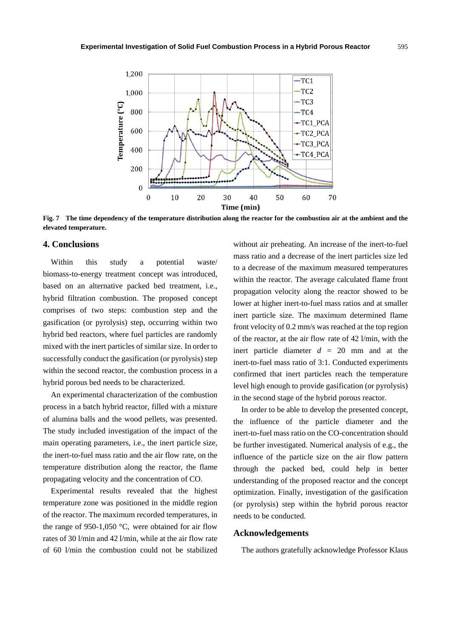

**Fig. 7 The time dependency of the temperature distribution along the reactor for the combustion air at the ambient and the elevated temperature.** 

## **4. Conclusions**

Within this study a potential waste/ biomass-to-energy treatment concept was introduced, based on an alternative packed bed treatment, i.e., hybrid filtration combustion. The proposed concept comprises of two steps: combustion step and the gasification (or pyrolysis) step, occurring within two hybrid bed reactors, where fuel particles are randomly mixed with the inert particles of similar size. In order to successfully conduct the gasification (or pyrolysis) step within the second reactor, the combustion process in a hybrid porous bed needs to be characterized.

An experimental characterization of the combustion process in a batch hybrid reactor, filled with a mixture of alumina balls and the wood pellets, was presented. The study included investigation of the impact of the main operating parameters, i.e., the inert particle size, the inert-to-fuel mass ratio and the air flow rate, on the temperature distribution along the reactor, the flame propagating velocity and the concentration of CO.

Experimental results revealed that the highest temperature zone was positioned in the middle region of the reactor. The maximum recorded temperatures, in the range of 950-1,050 °C, were obtained for air flow rates of 30 l/min and 42 l/min, while at the air flow rate of 60 l/min the combustion could not be stabilized without air preheating. An increase of the inert-to-fuel mass ratio and a decrease of the inert particles size led to a decrease of the maximum measured temperatures within the reactor. The average calculated flame front propagation velocity along the reactor showed to be lower at higher inert-to-fuel mass ratios and at smaller inert particle size. The maximum determined flame front velocity of 0.2 mm/s was reached at the top region of the reactor, at the air flow rate of 42 l/min, with the inert particle diameter *d* = 20 mm and at the inert-to-fuel mass ratio of 3:1. Conducted experiments confirmed that inert particles reach the temperature level high enough to provide gasification (or pyrolysis) in the second stage of the hybrid porous reactor.

In order to be able to develop the presented concept, the influence of the particle diameter and the inert-to-fuel mass ratio on the CO-concentration should be further investigated. Numerical analysis of e.g., the influence of the particle size on the air flow pattern through the packed bed, could help in better understanding of the proposed reactor and the concept optimization. Finally, investigation of the gasification (or pyrolysis) step within the hybrid porous reactor needs to be conducted.

#### **Acknowledgements**

The authors gratefully acknowledge Professor Klaus